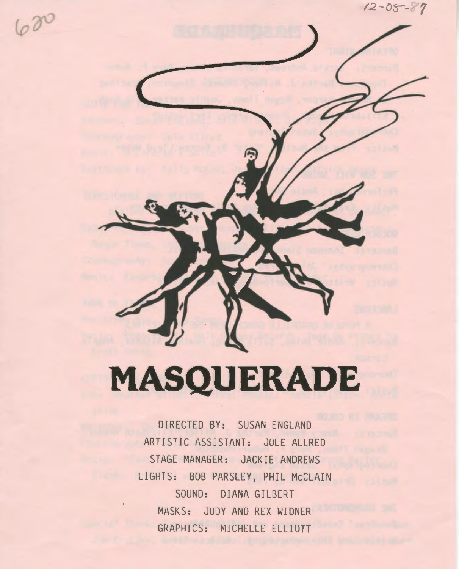*12 - 0<s--? 7* 

# **MASQUERADE**

DIRECTED BY: SUSAN ENGLAND ARTISTIC ASSISTANT: JOLE ALLRED STAGE MANAGER: JACKIE ANDREWS LIGHTS: BOB PARSLEY, PHIL McCLAIN SOUND: DIANA GILBERT MASKS: JUDY AND REX WIDNER GRAPHICS: MICHELLE ELLIOTT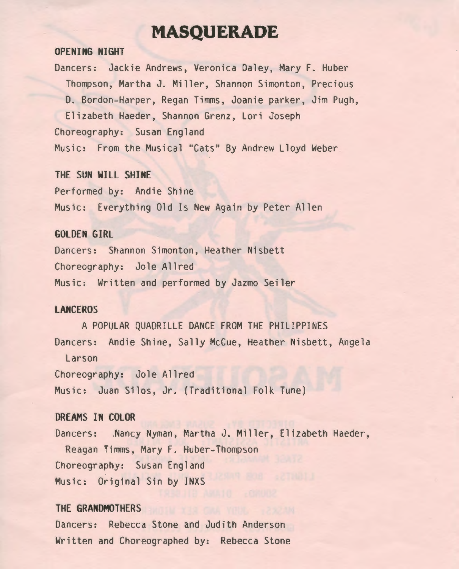# **MASQUERADE**

#### **OPENING NIGHT**

Dancers: Jackie Andrews, Veronica Daley, Mary F. Huber Thompson, Martha J. Miller, Shannon Simonton, Precious D. Bardon-Harper, Regan Timms, Joanie parker, Jim Pugh, Elizabeth Haeder, Shannon Grenz, Lori Joseph Choreography: Susan England Music: From the Musical "Cats" By Andrew Lloyd Weber

#### **THE SUN WILL SHINE**

Performed by: Andie Shine Music: Everything Old Is New Again by Peter Allen

#### **GOLDEN GIRL**

Dancers: Shannon Simonton, Heather Nisbett Choreography: Jole Allred Music: Written and performed by Jazmo Seiler

## **LANCEROS**

A POPULAR QUADRILLE DANCE FROM THE PHILIPPINES Dancers: Andie Shine, Sally McCue, Heather Nisbett, Angela Larson Choreography: Jole Allred Music: Juan Silos, Jr. (Traditional Folk Tune)

## **DREAMS IN COLOR**

Dancers: .Nancy Nyman, Martha J. Miller, Elizabeth Haeder, Reagan Timms, Mary F. Huber-Thompson Choreography: Susan England Music: Original Sin by INXS

#### **THE GRANDMOTHERS**

Dancers: Rebecca Stone and Judith Anderson Written and Choreographed by: Rebecca Stone